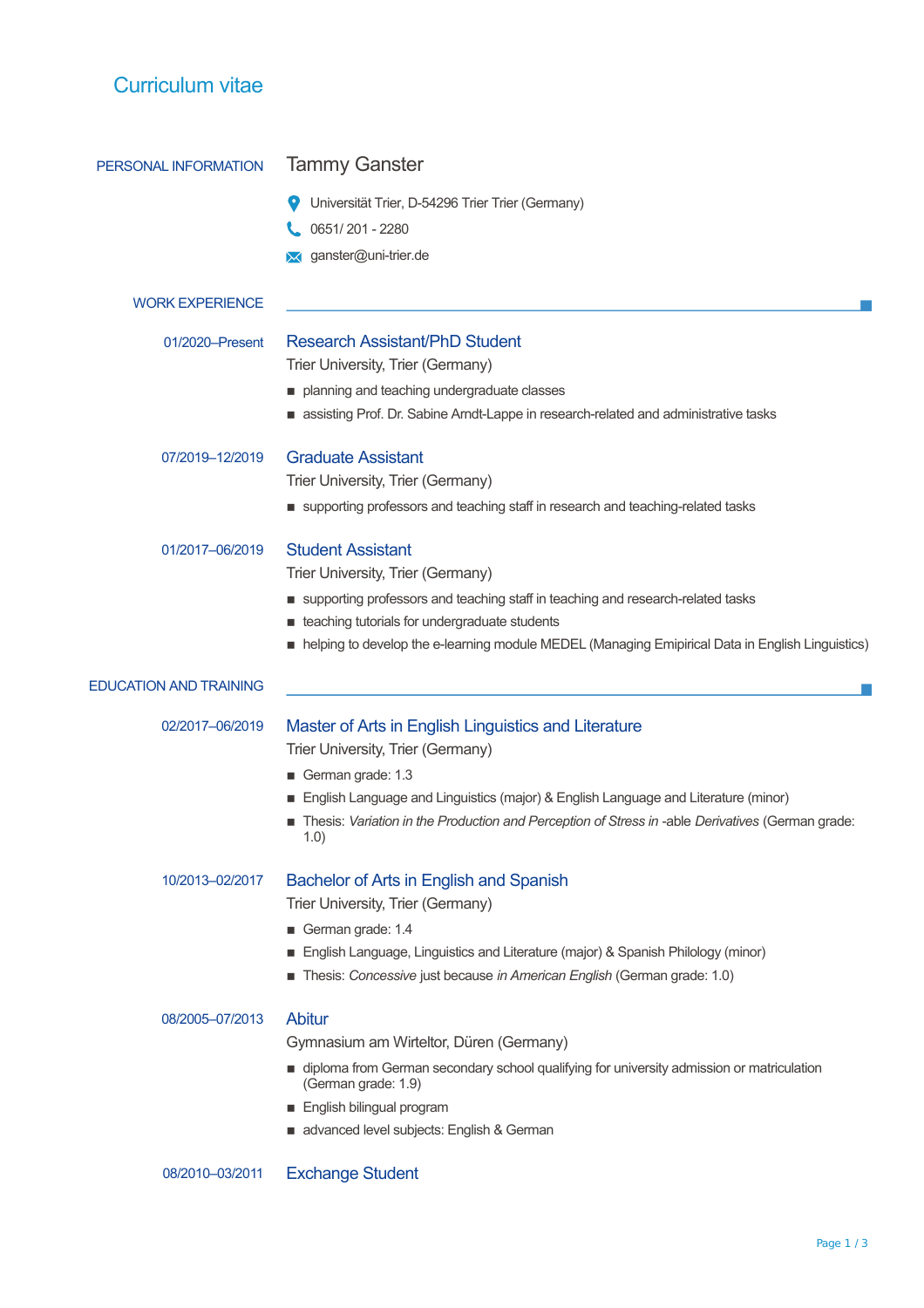| Curriculum vitae              |                                                                                                                                                             |
|-------------------------------|-------------------------------------------------------------------------------------------------------------------------------------------------------------|
| PERSONAL INFORMATION          | <b>Tammy Ganster</b>                                                                                                                                        |
|                               | Universität Trier, D-54296 Trier Trier (Germany)                                                                                                            |
|                               | 0651/201 - 2280                                                                                                                                             |
|                               | × ganster@uni-trier.de                                                                                                                                      |
| <b>WORK EXPERIENCE</b>        |                                                                                                                                                             |
| 01/2020-Present               | Research Assistant/PhD Student                                                                                                                              |
|                               | Trier University, Trier (Germany)                                                                                                                           |
|                               | planning and teaching undergraduate classes                                                                                                                 |
|                               | assisting Prof. Dr. Sabine Arndt-Lappe in research-related and administrative tasks                                                                         |
| 07/2019-12/2019               | <b>Graduate Assistant</b>                                                                                                                                   |
|                               | Trier University, Trier (Germany)                                                                                                                           |
|                               | supporting professors and teaching staff in research and teaching-related tasks                                                                             |
| 01/2017-06/2019               | <b>Student Assistant</b>                                                                                                                                    |
|                               | Trier University, Trier (Germany)                                                                                                                           |
|                               | supporting professors and teaching staff in teaching and research-related tasks                                                                             |
|                               | teaching tutorials for undergraduate students                                                                                                               |
|                               | nelping to develop the e-learning module MEDEL (Managing Emipirical Data in English Linguistics)                                                            |
| <b>EDUCATION AND TRAINING</b> |                                                                                                                                                             |
| 02/2017-06/2019               | Master of Arts in English Linguistics and Literature<br>Trier University, Trier (Germany)                                                                   |
|                               | German grade: 1.3                                                                                                                                           |
|                               | English Language and Linguistics (major) & English Language and Literature (minor)                                                                          |
|                               | Thesis: Variation in the Production and Perception of Stress in -able Derivatives (German grade:<br>1.0)                                                    |
| 10/2013-02/2017               | Bachelor of Arts in English and Spanish                                                                                                                     |
|                               | Trier University, Trier (Germany)                                                                                                                           |
|                               | German grade: 1.4                                                                                                                                           |
|                               | English Language, Linguistics and Literature (major) & Spanish Philology (minor)<br>Thesis: Concessive just because in American English (German grade: 1.0) |
|                               |                                                                                                                                                             |
| 08/2005-07/2013               | <b>Abitur</b>                                                                                                                                               |
|                               | Gymnasium am Wirteltor, Düren (Germany)                                                                                                                     |
|                               | ■ diploma from German secondary school qualifying for university admission or matriculation<br>(German grade: 1.9)                                          |
|                               | English bilingual program                                                                                                                                   |
|                               | advanced level subjects: English & German                                                                                                                   |
| 08/2010-03/2011               | <b>Exchange Student</b>                                                                                                                                     |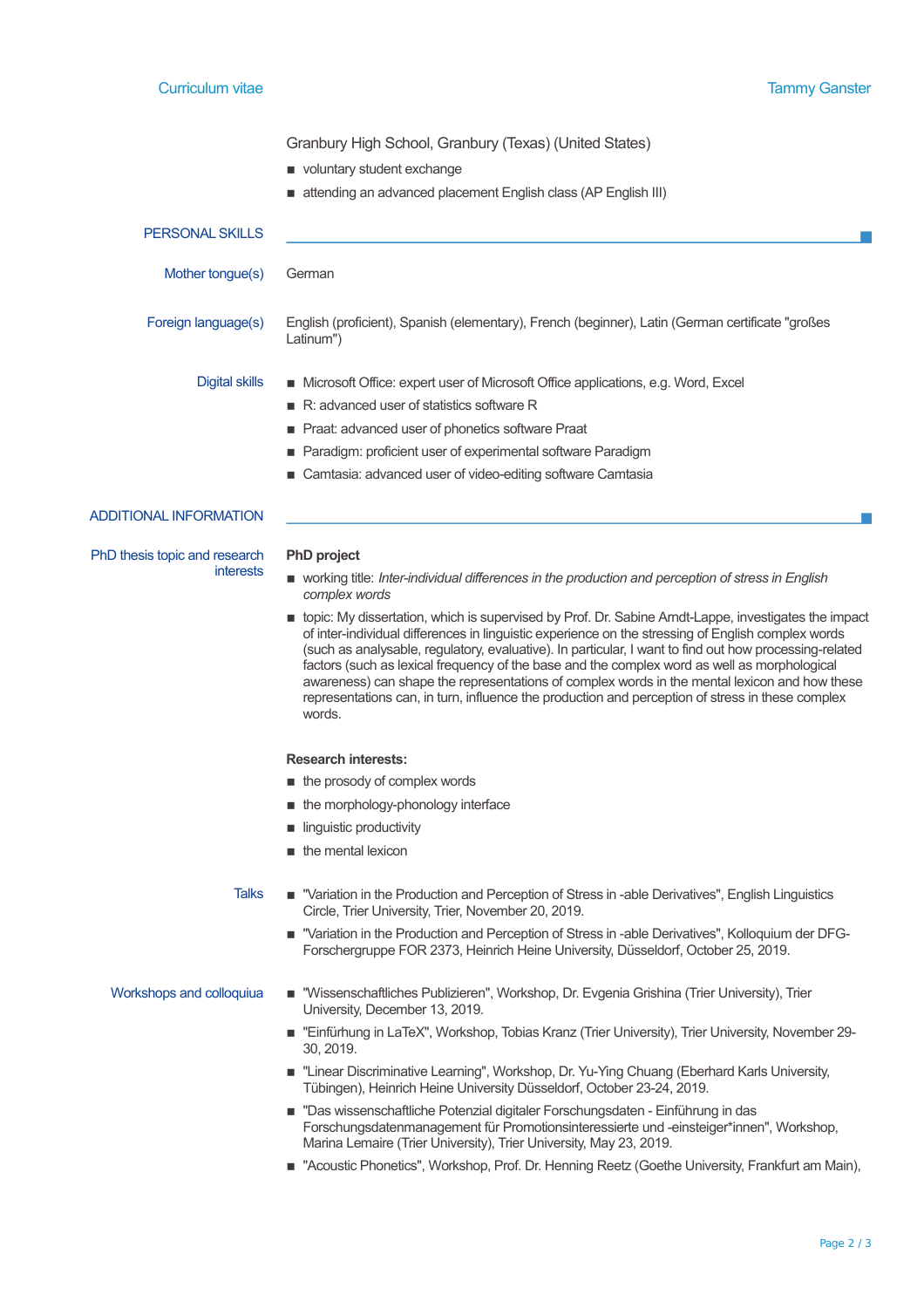Granbury High School, Granbury (Texas) (United States)

- $\blacksquare$  voluntary student exchange
- attending an advanced placement English class (AP English III)

| <b>PERSONAL SKILLS</b>        |                                                                                                                                                                                                                                                                                                                                     |
|-------------------------------|-------------------------------------------------------------------------------------------------------------------------------------------------------------------------------------------------------------------------------------------------------------------------------------------------------------------------------------|
| Mother tongue(s)              | German                                                                                                                                                                                                                                                                                                                              |
| Foreign language(s)           | English (proficient), Spanish (elementary), French (beginner), Latin (German certificate "großes<br>Latinum")                                                                                                                                                                                                                       |
| Digital skills                | ■ Microsoft Office: expert user of Microsoft Office applications, e.g. Word, Excel<br>$\blacksquare$ R: advanced user of statistics software R<br>Praat: advanced user of phonetics software Praat<br>■ Paradigm: proficient user of experimental software Paradigm<br>■ Camtasia: advanced user of video-editing software Camtasia |
| <b>ADDITIONAL INFORMATION</b> |                                                                                                                                                                                                                                                                                                                                     |

interests

PhD thesis topic and research

## **PhD project**

- working title: *Inter-individual differences in the production and perception of stress in English complex words*
- **DED** topic: My dissertation, which is supervised by Prof. Dr. Sabine Arndt-Lappe, investigates the impact of inter-individual differences in linguistic experience on the stressing of English complex words (such as analysable, regulatory, evaluative). In particular, I want to find out how processing-related factors (such as lexical frequency of the base and the complex word as well as morphological awareness) can shape the representations of complex words in the mental lexicon and how these representations can, in turn, influence the production and perception of stress in these complex words.

# **Research interests:**

- the prosody of complex words
- the morphology-phonology interface
- **Inquistic productivity**
- $\blacksquare$  the mental lexicon

- Talks "Variation in the Production and Perception of Stress in -able Derivatives", English Linguistics Circle, Trier University, Trier, November 20, 2019.
	- "Variation in the Production and Perception of Stress in -able Derivatives", Kolloquium der DFG-Forschergruppe FOR 2373, Heinrich Heine University, Düsseldorf, October 25, 2019.
- Workshops and colloquiua  $\blacksquare$  "Wissenschaftliches Publizieren", Workshop, Dr. Evgenia Grishina (Trier University), Trier University, December 13, 2019.
	- "Einfürhung in LaTeX", Workshop, Tobias Kranz (Trier University), Trier University, November 29- 30, 2019.
	- **E** "Linear Discriminative Learning", Workshop, Dr. Yu-Ying Chuang (Eberhard Karls University, Tübingen), Heinrich Heine University Düsseldorf, October 23-24, 2019.
	- "Das wissenschaftliche Potenzial digitaler Forschungsdaten Einführung in das Forschungsdatenmanagement für Promotionsinteressierte und -einsteiger\*innen", Workshop, Marina Lemaire (Trier University), Trier University, May 23, 2019.
	- "Acoustic Phonetics", Workshop, Prof. Dr. Henning Reetz (Goethe University, Frankfurt am Main),